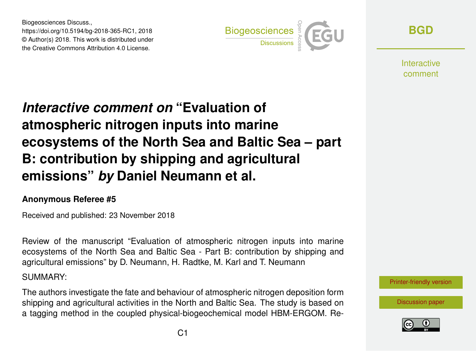Biogeosciences Discuss., https://doi.org/10.5194/bg-2018-365-RC1, 2018 © Author(s) 2018. This work is distributed under the Creative Commons Attribution 4.0 License.



**[BGD](https://www.biogeosciences-discuss.net/)**

**Interactive** comment

# *Interactive comment on* **"Evaluation of atmospheric nitrogen inputs into marine ecosystems of the North Sea and Baltic Sea – part B: contribution by shipping and agricultural emissions"** *by* **Daniel Neumann et al.**

#### **Anonymous Referee #5**

Received and published: 23 November 2018

Review of the manuscript "Evaluation of atmospheric nitrogen inputs into marine ecosystems of the North Sea and Baltic Sea - Part B: contribution by shipping and agricultural emissions" by D. Neumann, H. Radtke, M. Karl and T. Neumann

SUMMARY:

The authors investigate the fate and behaviour of atmospheric nitrogen deposition form shipping and agricultural activities in the North and Baltic Sea. The study is based on a tagging method in the coupled physical-biogeochemical model HBM-ERGOM. Re-



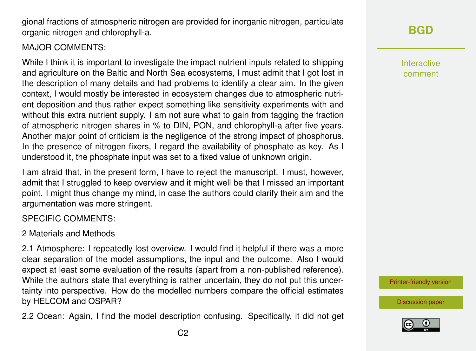gional fractions of atmospheric nitrogen are provided for inorganic nitrogen, particulate organic nitrogen and chlorophyll-a.

#### MAJOR COMMENTS:

While I think it is important to investigate the impact nutrient inputs related to shipping and agriculture on the Baltic and North Sea ecosystems, I must admit that I got lost in the description of many details and had problems to identify a clear aim. In the given context, I would mostly be interested in ecosystem changes due to atmospheric nutrient deposition and thus rather expect something like sensitivity experiments with and without this extra nutrient supply. I am not sure what to gain from tagging the fraction of atmospheric nitrogen shares in % to DIN, PON, and chlorophyll-a after five years. Another major point of criticism is the negligence of the strong impact of phosphorus. In the presence of nitrogen fixers, I regard the availability of phosphate as key. As I understood it, the phosphate input was set to a fixed value of unknown origin.

I am afraid that, in the present form, I have to reject the manuscript. I must, however, admit that I struggled to keep overview and it might well be that I missed an important point. I might thus change my mind, in case the authors could clarify their aim and the argumentation was more stringent.

## SPECIFIC COMMENTS:

## 2 Materials and Methods

2.1 Atmosphere: I repeatedly lost overview. I would find it helpful if there was a more clear separation of the model assumptions, the input and the outcome. Also I would expect at least some evaluation of the results (apart from a non-published reference). While the authors state that everything is rather uncertain, they do not put this uncertainty into perspective. How do the modelled numbers compare the official estimates by HELCOM and OSPAR?

2.2 Ocean: Again, I find the model description confusing. Specifically, it did not get

Interactive comment

[Printer-friendly version](https://www.biogeosciences-discuss.net/bg-2018-365/bg-2018-365-RC1-print.pdf)

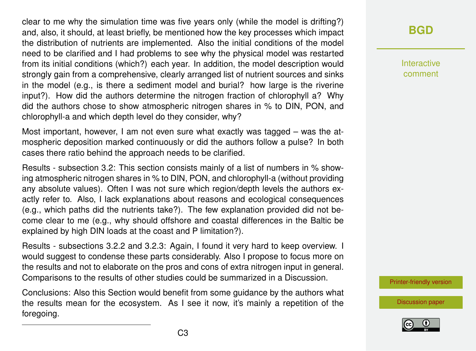clear to me why the simulation time was five years only (while the model is drifting?) and, also, it should, at least briefly, be mentioned how the key processes which impact the distribution of nutrients are implemented. Also the initial conditions of the model need to be clarified and I had problems to see why the physical model was restarted from its initial conditions (which?) each year. In addition, the model description would strongly gain from a comprehensive, clearly arranged list of nutrient sources and sinks in the model (e.g., is there a sediment model and burial? how large is the riverine input?). How did the authors determine the nitrogen fraction of chlorophyll a? Why did the authors chose to show atmospheric nitrogen shares in % to DIN, PON, and chlorophyll-a and which depth level do they consider, why?

Most important, however, I am not even sure what exactly was tagged – was the atmospheric deposition marked continuously or did the authors follow a pulse? In both cases there ratio behind the approach needs to be clarified.

Results - subsection 3.2: This section consists mainly of a list of numbers in % showing atmospheric nitrogen shares in % to DIN, PON, and chlorophyll-a (without providing any absolute values). Often I was not sure which region/depth levels the authors exactly refer to. Also, I lack explanations about reasons and ecological consequences (e.g., which paths did the nutrients take?). The few explanation provided did not become clear to me (e.g., why should offshore and coastal differences in the Baltic be explained by high DIN loads at the coast and P limitation?).

Results - subsections 3.2.2 and 3.2.3: Again, I found it very hard to keep overview. I would suggest to condense these parts considerably. Also I propose to focus more on the results and not to elaborate on the pros and cons of extra nitrogen input in general. Comparisons to the results of other studies could be summarized in a Discussion.

Conclusions: Also this Section would benefit from some guidance by the authors what the results mean for the ecosystem. As I see it now, it's mainly a repetition of the foregoing.

# **[BGD](https://www.biogeosciences-discuss.net/)**

Interactive comment

[Printer-friendly version](https://www.biogeosciences-discuss.net/bg-2018-365/bg-2018-365-RC1-print.pdf)